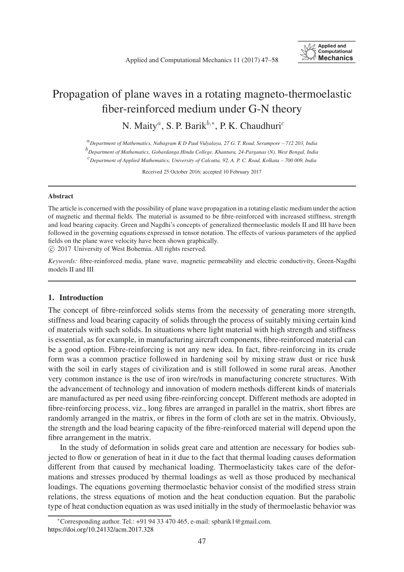

# Propagation of plane waves in a rotating magneto-thermoelastic fiber-reinforced medium under G-N theory

N. Maity<sup>*a*</sup>, S. P. Barik<sup>b,∗</sup>, P. K. Chaudhuri<sup>c</sup>

<sup>a</sup>*Department of Mathematics, Nabagram K D Paul Vidyalaya, 27 G. T. Road, Serampore – 712 203, India*

b *Department of Mathematics, Gobardanga Hindu College, Khantura, 24-Parganas (N), West Bengal, India*

c *Department of Applied Mathematics, University of Calcutta, 92, A. P. C. Road, Kolkata – 700 009, India*

Received 25 October 2016; accepted 10 February 2017

#### Abstract

The article is concerned with the possibility of plane wave propagation in a rotating elastic medium under the action of magnetic and thermal fields. The material is assumed to be fibre-reinforced with increased stiffness, strength and load bearing capacity. Green and Nagdhi's concepts of generalized thermoelastic models II and III have been followed in the governing equations expressed in tensor notation. The effects of various parameters of the applied fields on the plane wave velocity have been shown graphically.

c 2017 University of West Bohemia. All rights reserved.

*Keywords:* fibre-reinforced media, plane wave, magnetic permeability and electric conductivity, Green-Nagdhi models II and III

## 1. Introduction

The concept of fibre-reinforced solids stems from the necessity of generating more strength, stiffness and load bearing capacity of solids through the process of suitably mixing certain kind of materials with such solids. In situations where light material with high strength and stiffness is essential, as for example, in manufacturing aircraft components, fibre-reinforced material can be a good option. Fibre-reinforcing is not any new idea. In fact, fibre-reinforcing in its crude form was a common practice followed in hardening soil by mixing straw dust or rice husk with the soil in early stages of civilization and is still followed in some rural areas. Another very common instance is the use of iron wire/rods in manufacturing concrete structures. With the advancement of technology and innovation of modern methods different kinds of materials are manufactured as per need using fibre-reinforcing concept. Different methods are adopted in fibre-reinforcing process, viz., long fibres are arranged in parallel in the matrix, short fibres are randomly arranged in the matrix, or fibres in the form of cloth are set in the matrix. Obviously, the strength and the load bearing capacity of the fibre-reinforced material will depend upon the fibre arrangement in the matrix.

In the study of deformation in solids great care and attention are necessary for bodies subjected to flow or generation of heat in it due to the fact that thermal loading causes deformation different from that caused by mechanical loading. Thermoelasticity takes care of the deformations and stresses produced by thermal loadings as well as those produced by mechanical loadings. The equations governing thermoelastic behavior consist of the modified stress strain relations, the stress equations of motion and the heat conduction equation. But the parabolic type of heat conduction equation as was used initially in the study of thermoelastic behavior was

<sup>∗</sup>Corresponding author. Tel.: +91 94 33 470 465, e-mail: spbarik1@gmail.com. <https://doi.org/10.24132/acm.2017.328>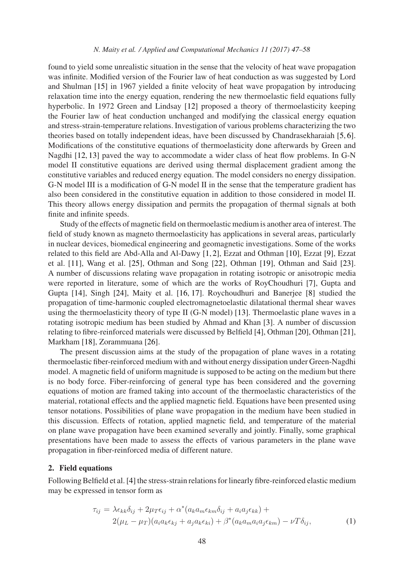#### *N. Maity et al. / Applied and Computational Mechanics 11 (2017) 47[–58](#page-10-0)*

found to yield some unrealistic situation in the sense that the velocity of heat wave propagation was infinite. Modified version of the Fourier law of heat conduction as was suggested by Lord and Shulman [\[15\]](#page-11-0) in 1967 yielded a finite velocity of heat wave propagation by introducing relaxation time into the energy equation, rendering the new thermoelastic field equations fully hyperbolic. In 1972 Green and Lindsay [\[12\]](#page-11-1) proposed a theory of thermoelasticity keeping the Fourier law of heat conduction unchanged and modifying the classical energy equation and stress-strain-temperature relations. Investigation of various problems characterizing the two theories based on totally independent ideas, have been discussed by Chandrasekharaiah [\[5,](#page-10-1) [6\]](#page-10-2). Modifications of the constitutive equations of thermoelasticity done afterwards by Green and Nagdhi [\[12,](#page-11-1) [13\]](#page-11-2) paved the way to accommodate a wider class of heat flow problems. In G-N model II constitutive equations are derived using thermal displacement gradient among the constitutive variables and reduced energy equation. The model considers no energy dissipation. G-N model III is a modification of G-N model II in the sense that the temperature gradient has also been considered in the constitutive equation in addition to those considered in model II. This theory allows energy dissipation and permits the propagation of thermal signals at both finite and infinite speeds.

Study of the effects of magnetic field on thermoelastic medium is another area of interest. The field of study known as magneto thermoelasticity has applications in several areas, particularly in nuclear devices, biomedical engineering and geomagnetic investigations. Some of the works related to this field are Abd-Alla and Al-Dawy [\[1,](#page-10-3) [2\]](#page-10-4), Ezzat and Othman [\[10\]](#page-11-3), Ezzat [\[9\]](#page-11-4), Ezzat et al. [\[11\]](#page-11-5), Wang et al. [\[25\]](#page-11-6), Othman and Song [\[22\]](#page-11-7), Othman [\[19\]](#page-11-8), Othman and Said [\[23\]](#page-11-9). A number of discussions relating wave propagation in rotating isotropic or anisotropic media were reported in literature, some of which are the works of RoyChoudhuri [\[7\]](#page-10-5), Gupta and Gupta [\[14\]](#page-11-10), Singh [\[24\]](#page-11-11), Maity et al. [\[16,](#page-11-12) [17\]](#page-11-13). Roychoudhuri and Banerjee [\[8\]](#page-10-6) studied the propagation of time-harmonic coupled electromagnetoelastic dilatational thermal shear waves using the thermoelasticity theory of type II (G-N model) [\[13\]](#page-11-2). Thermoelastic plane waves in a rotating isotropic medium has been studied by Ahmad and Khan [\[3\]](#page-10-7). A number of discussion relating to fibre-reinforced materials were discussed by Belfield [\[4\]](#page-10-8), Othman [\[20\]](#page-11-14), Othman [\[21\]](#page-11-15), Markham [\[18\]](#page-11-16), Zorammuana [\[26\]](#page-11-17).

The present discussion aims at the study of the propagation of plane waves in a rotating thermoelastic fiber-reinforced medium with and without energy dissipation under Green-Nagdhi model. A magnetic field of uniform magnitude is supposed to be acting on the medium but there is no body force. Fiber-reinforcing of general type has been considered and the governing equations of motion are framed taking into account of the thermoelastic characteristics of the material, rotational effects and the applied magnetic field. Equations have been presented using tensor notations. Possibilities of plane wave propagation in the medium have been studied in this discussion. Effects of rotation, applied magnetic field, and temperature of the material on plane wave propagation have been examined severally and jointly. Finally, some graphical presentations have been made to assess the effects of various parameters in the plane wave propagation in fiber-reinforced media of different nature.

## 2. Field equations

Following Belfield et al. [\[4\]](#page-10-8) the stress-strain relations for linearly fibre-reinforced elastic medium may be expressed in tensor form as

$$
\tau_{ij} = \lambda \epsilon_{kk} \delta_{ij} + 2\mu_T \epsilon_{ij} + \alpha^* (a_k a_m \epsilon_{km} \delta_{ij} + a_i a_j \epsilon_{kk}) +
$$
  

$$
2(\mu_L - \mu_T)(a_i a_k \epsilon_{kj} + a_j a_k \epsilon_{ki}) + \beta^* (a_k a_m a_i a_j \epsilon_{km}) - \nu T \delta_{ij},
$$
 (1)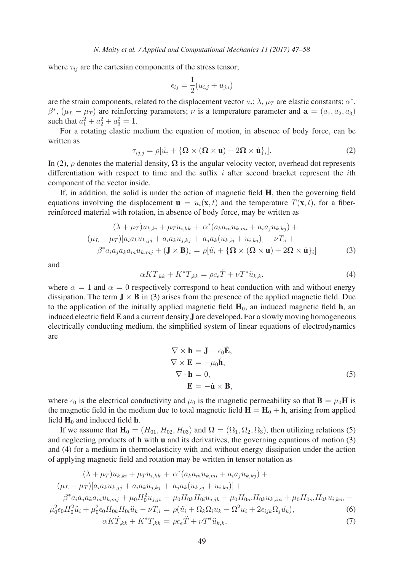where  $\tau_{ij}$  are the cartesian components of the stress tensor;

$$
\epsilon_{ij} = \frac{1}{2}(u_{i,j} + u_{j,i})
$$

are the strain components, related to the displacement vector  $u_i$ ;  $\lambda$ ,  $\mu_T$  are elastic constants;  $\alpha^*$ ,  $\beta^*$ ,  $(\mu_L - \mu_T)$  are reinforcing parameters;  $\nu$  is a temperature parameter and  $\mathbf{a} = (a_1, a_2, a_3)$ such that  $a_1^2 + a_2^2 + a_3^2 = 1$ .

For a rotating elastic medium the equation of motion, in absence of body force, can be written as

<span id="page-2-0"></span>
$$
\tau_{ij,j} = \rho[\ddot{u}_i + {\{\Omega \times (\Omega \times \mathbf{u}) + 2\Omega \times \dot{\mathbf{u}}\}_i}].
$$
\n(2)

In [\(2\)](#page-2-0),  $\rho$  denotes the material density,  $\Omega$  is the angular velocity vector, overhead dot represents differentiation with respect to time and the suffix  $i$  after second bracket represent the *i*th component of the vector inside.

If, in addition, the solid is under the action of magnetic field H, then the governing field equations involving the displacement  $\mathbf{u} = u_i(\mathbf{x}, t)$  and the temperature  $T(\mathbf{x}, t)$ , for a fiberreinforced material with rotation, in absence of body force, may be written as

<span id="page-2-1"></span>
$$
(\lambda + \mu_T)u_{k,ki} + \mu_T u_{i,kk} + \alpha^*(a_k a_m u_{k,mi} + a_i a_j u_{k,kj}) +
$$
  
\n
$$
(\mu_L - \mu_T)[a_i a_k u_{k,ij} + a_i a_k u_{j,kj} + a_j a_k (u_{k,ij} + u_{i,kj})] - \nu T_{,i} +
$$
  
\n
$$
\beta^* a_i a_j a_k a_m u_{k,mj} + (\mathbf{J} \times \mathbf{B})_i = \rho[\ddot{u}_i + {\Omega \times (\Omega \times \mathbf{u}) + 2\Omega \times \dot{\mathbf{u}}}_i]
$$
\n(3)

and

<span id="page-2-3"></span>
$$
\alpha K \dot{T}_{,kk} + K^* T_{,kk} = \rho c_e \ddot{T} + \nu T^* \ddot{u}_{k,k},\tag{4}
$$

where  $\alpha = 1$  and  $\alpha = 0$  respectively correspond to heat conduction with and without energy dissipation. The term  $J \times B$  in [\(3\)](#page-2-1) arises from the presence of the applied magnetic field. Due to the application of the initially applied magnetic field  $H_0$ , an induced magnetic field h, an induced electric field **E** and a current density **J** are developed. For a slowly moving homogeneous electrically conducting medium, the simplified system of linear equations of electrodynamics are

<span id="page-2-2"></span>
$$
\nabla \times \mathbf{h} = \mathbf{J} + \epsilon_0 \dot{\mathbf{E}},
$$
  
\n
$$
\nabla \times \mathbf{E} = -\mu_0 \dot{\mathbf{h}},
$$
  
\n
$$
\nabla \cdot \mathbf{h} = 0,
$$
  
\n
$$
\mathbf{E} = -\dot{\mathbf{u}} \times \mathbf{B},
$$
  
\n(5)

where  $\epsilon_0$  is the electrical conductivity and  $\mu_0$  is the magnetic permeability so that  $\mathbf{B} = \mu_0 \mathbf{H}$  is the magnetic field in the medium due to total magnetic field  $H = H_0 + h$ , arising from applied field  $H_0$  and induced field h.

If we assume that  $H_0 = (H_{01}, H_{02}, H_{03})$  and  $\Omega = (\Omega_1, \Omega_2, \Omega_3)$ , then utilizing relations [\(5\)](#page-2-2) and neglecting products of h with u and its derivatives, the governing equations of motion [\(3\)](#page-2-1) and [\(4\)](#page-2-3) for a medium in thermoelasticity with and without energy dissipation under the action of applying magnetic field and rotation may be written in tensor notation as

<span id="page-2-4"></span>
$$
(\lambda + \mu_T)u_{k,ki} + \mu_T u_{i,kk} + \alpha^* (a_k a_m u_{k,mi} + a_i a_j u_{k,kj}) +
$$
  
\n
$$
(\mu_L - \mu_T)[a_i a_k u_{k,jj} + a_i a_k u_{j,kj} + a_j a_k (u_{k,ij} + u_{i,kj})] +
$$
  
\n
$$
\beta^* a_i a_j a_k a_m u_{k,mj} + \mu_0 H_0^2 u_{j,ji} - \mu_0 H_{0k} H_{0i} u_{j,jk} - \mu_0 H_{0m} H_{0k} u_{k,im} + \mu_0 H_{0m} H_{0k} u_{i,km} -
$$
  
\n
$$
\mu_0^2 \epsilon_0 H_0^2 \ddot{u}_i + \mu_0^2 \epsilon_0 H_{0k} H_{0i} \ddot{u}_k - \nu T_{,i} = \rho(\ddot{u}_i + \Omega_k \Omega_i u_k - \Omega^2 u_i + 2\epsilon_{ijk} \Omega_j \dot{u}_k),
$$
  
\n
$$
\alpha K \dot{T}_{,kk} + K^* T_{,kk} = \rho c_e \ddot{T} + \nu T^* \ddot{u}_{k,k},
$$
\n(7)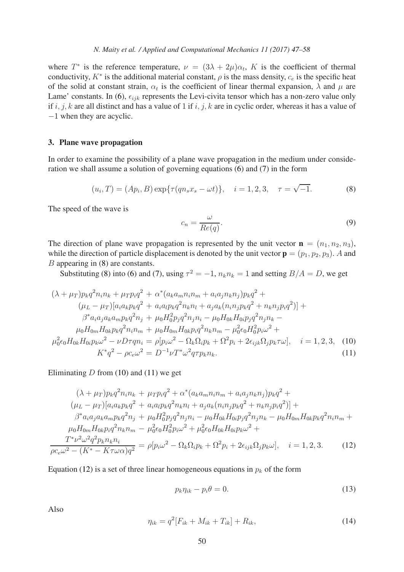where  $T^*$  is the reference temperature,  $\nu = (3\lambda + 2\mu)\alpha_t$ , K is the coefficient of thermal conductivity,  $K^*$  is the additional material constant,  $\rho$  is the mass density,  $c_e$  is the specific heat of the solid at constant strain,  $\alpha_t$  is the coefficient of linear thermal expansion,  $\lambda$  and  $\mu$  are Lame' constants. In [\(6\)](#page-2-4),  $\epsilon_{ijk}$  represents the Levi-civita tensor which has a non-zero value only if i, j, k are all distinct and has a value of 1 if i, j, k are in cyclic order, whereas it has a value of −1 when they are acyclic.

#### 3. Plane wave propagation

In order to examine the possibility of a plane wave propagation in the medium under consideration we shall assume a solution of governing equations [\(6\)](#page-2-4) and [\(7\)](#page-2-4) in the form

<span id="page-3-0"></span>
$$
(u_i, T) = (Ap_i, B) \exp{\{\tau(qn_sx_s - \omega t)\}}, \quad i = 1, 2, 3, \quad \tau = \sqrt{-1}.
$$
 (8)

The speed of the wave is

<span id="page-3-4"></span>
$$
c_n = \frac{\omega}{Re(q)}.\tag{9}
$$

The direction of plane wave propagation is represented by the unit vector  $\mathbf{n} = (n_1, n_2, n_3)$ , while the direction of particle displacement is denoted by the unit vector  $\mathbf{p} = (p_1, p_2, p_3)$ . A and B appearing in [\(8\)](#page-3-0) are constants.

Substituting [\(8\)](#page-3-0) into [\(6\)](#page-2-4) and [\(7\)](#page-2-4), using  $\tau^2 = -1$ ,  $n_k n_k = 1$  and setting  $B/A = D$ , we get

<span id="page-3-1"></span>
$$
(\lambda + \mu_T)p_k q^2 n_i n_k + \mu_T p_i q^2 + \alpha^* (a_k a_m n_i n_m + a_i a_j n_k n_j) p_k q^2 +
$$
  
\n
$$
(\mu_L - \mu_T) [a_i a_k p_k q^2 + a_i a_l p_k q^2 n_k n_l + a_j a_k (n_i n_j p_k q^2 + n_k n_j p_i q^2)] +
$$
  
\n
$$
\beta^* a_i a_j a_k a_m p_k q^2 n_j + \mu_0 H_0^2 p_j q^2 n_j n_i - \mu_0 H_0 k h_0 i p_j q^2 n_j n_k -
$$
  
\n
$$
\mu_0 H_{0m} H_{0k} p_k q^2 n_i n_m + \mu_0 H_{0m} H_{0k} p_i q^2 n_k n_m - \mu_0^2 \epsilon_0 H_0^2 p_i \omega^2 +
$$
  
\n
$$
\mu_0^2 \epsilon_0 H_{0k} H_{0i} p_k \omega^2 - \nu D \tau q n_i = \rho [p_i \omega^2 - \Omega_k \Omega_i p_k + \Omega^2 p_i + 2 \epsilon_{ijk} \Omega_j p_k \tau \omega], \quad i = 1, 2, 3, \quad (10)
$$
  
\n
$$
K^* q^2 - \rho c_\epsilon \omega^2 = D^{-1} \nu T^* \omega^2 q \tau p_k n_k.
$$
  
\n(11)

Eliminating  $D$  from [\(10\)](#page-3-1) and [\(11\)](#page-3-1) we get

<span id="page-3-2"></span>
$$
(\lambda + \mu_T)p_k q^2 n_i n_k + \mu_T p_i q^2 + \alpha^* (a_k a_m n_i n_m + a_i a_j n_k n_j) p_k q^2 +
$$
  
\n
$$
(\mu_L - \mu_T)[a_i a_k p_k q^2 + a_i a_l p_k q^2 n_k n_l + a_j a_k (n_i n_j p_k q^2 + n_k n_j p_i q^2)] +
$$
  
\n
$$
\beta^* a_i a_j a_k a_m p_k q^2 n_j + \mu_0 H_0^2 p_j q^2 n_j n_i - \mu_0 H_{0k} H_{0i} p_j q^2 n_j n_k - \mu_0 H_{0m} H_{0k} p_k q^2 n_i n_m +
$$
  
\n
$$
\mu_0 H_{0m} H_{0k} p_i q^2 n_k n_m - \mu_0^2 \epsilon_0 H_0^2 p_i \omega^2 + \mu_0^2 \epsilon_0 H_{0k} H_{0i} p_k \omega^2 +
$$
  
\n
$$
\frac{T^* \nu^2 \omega^2 q^2 p_k n_k n_i}{\rho c_e \omega^2 - (K^* - K \tau \omega \alpha) q^2} = \rho [p_i \omega^2 - \Omega_k \Omega_i p_k + \Omega^2 p_i + 2 \epsilon_{ijk} \Omega_j p_k \omega], \quad i = 1, 2, 3.
$$
 (12)

Equation [\(12\)](#page-3-2) is a set of three linear homogeneous equations in  $p_k$  of the form

<span id="page-3-3"></span>
$$
p_k \eta_{ik} - p_i \theta = 0. \tag{13}
$$

Also

$$
\eta_{ik} = q^2 [F_{ik} + M_{ik} + T_{ik}] + R_{ik},\tag{14}
$$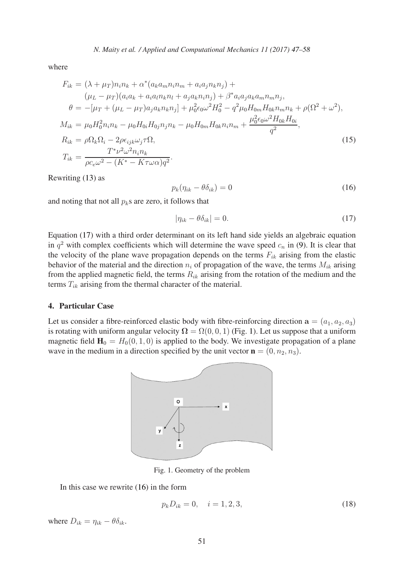where

$$
F_{ik} = (\lambda + \mu_T) n_i n_k + \alpha^* (a_k a_m n_i n_m + a_i a_j n_k n_j) +
$$
  
\n
$$
(\mu_L - \mu_T) (a_i a_k + a_i a_l n_k n_l + a_j a_k n_i n_j) + \beta^* a_i a_j a_k a_m n_m n_j,
$$
  
\n
$$
\theta = -[\mu_T + (\mu_L - \mu_T) a_j a_k n_k n_j] + \mu_0^2 \epsilon_0 \omega^2 H_0^2 - q^2 \mu_0 H_{0m} H_{0k} n_m n_k + \rho (\Omega^2 + \omega^2),
$$
  
\n
$$
M_{ik} = \mu_0 H_0^2 n_i n_k - \mu_0 H_{0i} H_{0j} n_j n_k - \mu_0 H_{0m} H_{0k} n_i n_m + \frac{\mu_0^2 \epsilon_0 \omega^2 H_{0k} H_{0i}}{q^2},
$$
  
\n
$$
R_{ik} = \rho \Omega_k \Omega_i - 2\rho \epsilon_{ijk} \omega_j \tau \Omega,
$$
  
\n
$$
T_{ik} = \frac{T^* \nu^2 \omega^2 n_i n_k}{\rho c_e \omega^2 - (K^* - K \tau \omega \alpha) q^2}.
$$
  
\n(15)

Rewriting [\(13\)](#page-3-3) as

<span id="page-4-2"></span>
$$
p_k(\eta_{ik} - \theta \delta_{ik}) = 0 \tag{16}
$$

and noting that not all  $p<sub>k</sub>$ s are zero, it follows that

<span id="page-4-0"></span>
$$
|\eta_{ik} - \theta \delta_{ik}| = 0. \tag{17}
$$

Equation [\(17\)](#page-4-0) with a third order determinant on its left hand side yields an algebraic equation in  $q^2$  with complex coefficients which will determine the wave speed  $c_n$  in [\(9\)](#page-3-4). It is clear that the velocity of the plane wave propagation depends on the terms  $F_{ik}$  arising from the elastic behavior of the material and the direction  $n_i$  of propagation of the wave, the terms  $M_{ik}$  arising from the applied magnetic field, the terms  $R_{ik}$  arising from the rotation of the medium and the terms  $T_{ik}$  arising from the thermal character of the material.

## 4. Particular Case

<span id="page-4-1"></span>Let us consider a fibre-reinforced elastic body with fibre-reinforcing direction  $a = (a_1, a_2, a_3)$ is rotating with uniform angular velocity  $\Omega = \Omega(0, 0, 1)$  $\Omega = \Omega(0, 0, 1)$  (Fig. 1). Let us suppose that a uniform magnetic field  $H_0 = H_0(0, 1, 0)$  is applied to the body. We investigate propagation of a plane wave in the medium in a direction specified by the unit vector  $\mathbf{n} = (0, n_2, n_3)$ .



Fig. 1. Geometry of the problem

In this case we rewrite [\(16\)](#page-4-2) in the form

<span id="page-4-3"></span>
$$
p_k D_{ik} = 0, \quad i = 1, 2, 3,
$$
\n<sup>(18)</sup>

where  $D_{ik} = \eta_{ik} - \theta \delta_{ik}$ .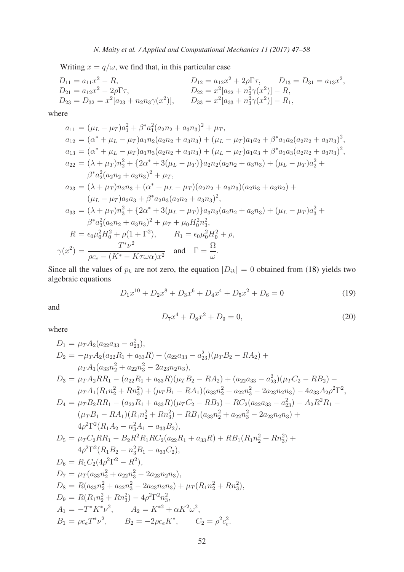Writing  $x = q/\omega$ , we find that, in this particular case

$$
D_{11} = a_{11}x^2 - R,
$$
  
\n
$$
D_{12} = a_{12}x^2 + 2\rho\Gamma\tau,
$$
  
\n
$$
D_{13} = D_{31} = a_{13}x^2,
$$
  
\n
$$
D_{21} = a_{12}x^2 - 2\rho\Gamma\tau,
$$
  
\n
$$
D_{22} = x^2[a_{22} + n_2^2\gamma(x^2)] - R,
$$
  
\n
$$
D_{33} = x^2[a_{33} + n_3^2\gamma(x^2)] - R_1,
$$

where

$$
a_{11} = (\mu_L - \mu_T)a_1^2 + \beta^* a_1^2(a_2n_2 + a_3n_3)^2 + \mu_T,
$$
  
\n
$$
a_{12} = (\alpha^* + \mu_L - \mu_T)a_1n_2(a_2n_2 + a_3n_3) + (\mu_L - \mu_T)a_1a_2 + \beta^* a_1a_2(a_2n_2 + a_3n_3)^2,
$$
  
\n
$$
a_{13} = (\alpha^* + \mu_L - \mu_T)a_1n_3(a_2n_2 + a_3n_3) + (\mu_L - \mu_T)a_1a_3 + \beta^* a_1a_3(a_2n_2 + a_3n_3)^2,
$$
  
\n
$$
a_{22} = (\lambda + \mu_T)n_2^2 + \{2\alpha^* + 3(\mu_L - \mu_T)\}a_2n_2(a_2n_2 + a_3n_3) + (\mu_L - \mu_T)a_2^2 +
$$
  
\n
$$
\beta^* a_2^2(a_2n_2 + a_3n_3)^2 + \mu_T,
$$
  
\n
$$
a_{23} = (\lambda + \mu_T)n_2n_3 + (\alpha^* + \mu_L - \mu_T)(a_2n_2 + a_3n_3)(a_2n_3 + a_3n_2) +
$$
  
\n
$$
(\mu_L - \mu_T)a_2a_3 + \beta^* a_2a_3(a_2n_2 + a_3n_3)^2,
$$
  
\n
$$
a_{33} = (\lambda + \mu_T)n_3^2 + \{2\alpha^* + 3(\mu_L - \mu_T)\}a_3n_3(a_2n_2 + a_3n_3) + (\mu_L - \mu_T)a_3^2 +
$$
  
\n
$$
\beta^* a_3^2(a_2n_2 + a_3n_3)^2 + \mu_T + \mu_0H_0^2n_3^2,
$$
  
\n
$$
R = \epsilon_0\mu_0^2H_0^2 + \rho(1 + \Gamma^2), \qquad R_1 = \epsilon_0\mu_0^2H_0^2 + \rho,
$$
  
\n
$$
\gamma(x^2) = \frac{T^*\nu^2}{\rho c_e - (K^* - K\tau\omega\alpha)x^2} \quad \text{and} \quad \Gamma = \frac{\Omega}{\omega}.
$$

Since all the values of  $p_k$  are not zero, the equation  $|D_{ik}| = 0$  obtained from [\(18\)](#page-4-3) yields two algebraic equations

<span id="page-5-0"></span>
$$
D_1 x^{10} + D_2 x^8 + D_3 x^6 + D_4 x^4 + D_5 x^2 + D_6 = 0
$$
\n(19)

and

<span id="page-5-1"></span>
$$
D_7x^4 + D_8x^2 + D_9 = 0,\t\t(20)
$$

where

$$
D_1 = \mu_T A_2 (a_{22}a_{33} - a_{23}^2),
$$
  
\n
$$
D_2 = -\mu_T A_2 (a_{22}R_1 + a_{33}R) + (a_{22}a_{33} - a_{23}^2)(\mu_T B_2 - RA_2) +
$$
  
\n
$$
\mu_T A_1 (a_{33}n_2^2 + a_{22}n_3^2 - 2a_{23}n_2n_3),
$$
  
\n
$$
D_3 = \mu_T A_2RR_1 - (a_{22}R_1 + a_{33}R)(\mu_T B_2 - RA_2) + (a_{22}a_{33} - a_{23}^2)(\mu_T C_2 - RB_2) -
$$
  
\n
$$
\mu_T A_1 (R_1n_2^2 + Rn_3^2) + (\mu_T B_1 - RA_1)(a_{33}n_2^2 + a_{22}n_3^2 - 2a_{23}n_2n_3) - 4a_{33}A_2\rho^2\Gamma^2,
$$
  
\n
$$
D_4 = \mu_T B_2RR_1 - (a_{22}R_1 + a_{33}R)(\mu_T C_2 - RB_2) - RC_2(a_{22}a_{33} - a_{23}^2) - A_2R^2R_1 -
$$
  
\n
$$
(\mu_T B_1 - RA_1)(R_1n_2^2 + Rn_3^2) - RB_1(a_{33}n_2^2 + a_{22}n_3^2 - 2a_{23}n_2n_3) +
$$
  
\n
$$
4\rho^2\Gamma^2 (R_1A_2 - n_3^2A_1 - a_{33}B_2),
$$
  
\n
$$
D_5 = \mu_T C_2RR_1 - B_2R^2R_1RC_2(a_{22}R_1 + a_{33}R) + RB_1(R_1n_2^2 + Rn_3^2) +
$$
  
\n
$$
4\rho^2\Gamma^2 (R_1B_2 - n_3^2B_1 - a_{33}C_2),
$$
  
\n
$$
D_6 = R_1C_2(4\rho^2\Gamma^2 - R^2),
$$
  
\n
$$
D_7 = \mu_T (a_{33}n_2^2 + a_{22}n_3^
$$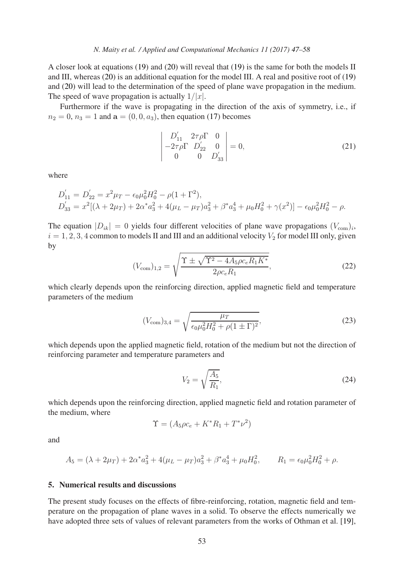## *N. Maity et al. / Applied and Computational Mechanics 11 (2017) 47[–58](#page-10-0)*

A closer look at equations [\(19\)](#page-5-0) and [\(20\)](#page-5-1) will reveal that [\(19\)](#page-5-0) is the same for both the models II and III, whereas [\(20\)](#page-5-1) is an additional equation for the model III. A real and positive root of [\(19\)](#page-5-0) and [\(20\)](#page-5-1) will lead to the determination of the speed of plane wave propagation in the medium. The speed of wave propagation is actually  $1/|x|$ .

Furthermore if the wave is propagating in the direction of the axis of symmetry, i.e., if  $n_2 = 0$ ,  $n_3 = 1$  and  $a = (0, 0, a_3)$ , then equation [\(17\)](#page-4-0) becomes

$$
\begin{vmatrix} D'_{11} & 2\tau \rho \Gamma & 0 \\ -2\tau \rho \Gamma & D'_{22} & 0 \\ 0 & 0 & D'_{33} \end{vmatrix} = 0, \tag{21}
$$

where

$$
D'_{11} = D'_{22} = x^2 \mu_T - \epsilon_0 \mu_0^2 H_0^2 - \rho (1 + \Gamma^2),
$$
  
\n
$$
D'_{33} = x^2 [(\lambda + 2\mu_T) + 2\alpha^* a_3^2 + 4(\mu_L - \mu_T) a_3^2 + \beta^* a_3^4 + \mu_0 H_0^2 + \gamma (x^2)] - \epsilon_0 \mu_0^2 H_0^2 - \rho.
$$

The equation  $|D_{ik}| = 0$  yields four different velocities of plane wave propagations  $(V_{com})_i$ ,  $i = 1, 2, 3, 4$  common to models II and III and an additional velocity  $V_2$  for model III only, given by

<span id="page-6-0"></span>
$$
(V_{\text{com}})_{1,2} = \sqrt{\frac{\Upsilon \pm \sqrt{\Upsilon^2 - 4A_5 \rho c_e R_1 K^*}}{2\rho c_e R_1}},\tag{22}
$$

which clearly depends upon the reinforcing direction, applied magnetic field and temperature parameters of the medium

<span id="page-6-1"></span>
$$
(V_{\text{com}})_{3,4} = \sqrt{\frac{\mu_T}{\epsilon_0 \mu_0^2 H_0^2 + \rho (1 \pm \Gamma)^2}},\tag{23}
$$

which depends upon the applied magnetic field, rotation of the medium but not the direction of reinforcing parameter and temperature parameters and

<span id="page-6-2"></span>
$$
V_2 = \sqrt{\frac{A_5}{R_1}},\tag{24}
$$

which depends upon the reinforcing direction, applied magnetic field and rotation parameter of the medium, where

$$
\Upsilon = (A_5 \rho c_e + K^* R_1 + T^* \nu^2)
$$

and

$$
A_5 = (\lambda + 2\mu_T) + 2\alpha^* a_3^2 + 4(\mu_L - \mu_T) a_3^2 + \beta^* a_3^4 + \mu_0 H_0^2, \qquad R_1 = \epsilon_0 \mu_0^2 H_0^2 + \rho.
$$

## 5. Numerical results and discussions

The present study focuses on the effects of fibre-reinforcing, rotation, magnetic field and temperature on the propagation of plane waves in a solid. To observe the effects numerically we have adopted three sets of values of relevant parameters from the works of Othman et al. [\[19\]](#page-11-8),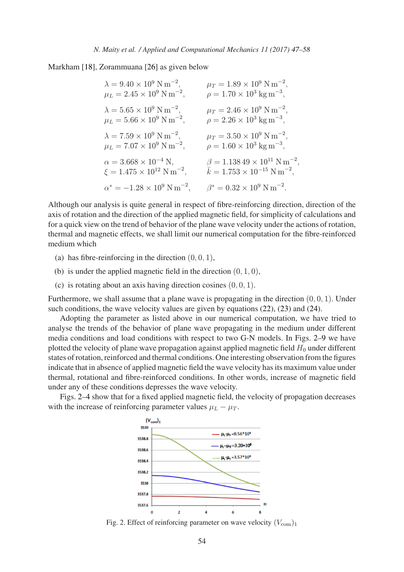Markham [\[18\]](#page-11-16), Zorammuana [\[26\]](#page-11-17) as given below

| $\lambda = 9.40 \times 10^9 \text{ N m}^{-2}$ ,    | $\mu_T = 1.89 \times 10^9$ N m <sup>-2</sup> ,      |
|----------------------------------------------------|-----------------------------------------------------|
| $\mu_L = 2.45 \times 10^9$ N m <sup>-2</sup> ,     | $\rho = 1.70 \times 10^3$ kg m <sup>-3</sup> ,      |
| $\lambda = 5.65 \times 10^9 \text{ N m}^{-2},$     | $\mu_T = 2.46 \times 10^9$ N m <sup>-2</sup> ,      |
| $\mu_L = 5.66 \times 10^9 \text{ N m}^{-2},$       | $\rho = 2.26 \times 10^3$ kg m <sup>-3</sup> ,      |
| $\lambda = 7.59 \times 10^9$ N m <sup>-2</sup> ,   | $\mu_T = 3.50 \times 10^9$ N m <sup>-2</sup> ,      |
| $\mu_L = 7.07 \times 10^9 \text{ N m}^{-2},$       | $\rho = 1.60 \times 10^3 \text{ kg m}^{-3},$        |
| $\alpha = 3.668 \times 10^{-4}$ N,                 | $\beta = 1.13849 \times 10^{11} \text{ N m}^{-2},$  |
| $\xi = 1.475 \times 10^{12} \text{ N m}^{-2},$     | $\bar{k} = 1.753 \times 10^{-15} \text{ N m}^{-2},$ |
| $\alpha^* = -1.28 \times 10^9$ N m <sup>-2</sup> , | $\beta^* = 0.32 \times 10^9$ N m <sup>-2</sup> .    |

Although our analysis is quite general in respect of fibre-reinforcing direction, direction of the axis of rotation and the direction of the applied magnetic field, for simplicity of calculations and for a quick view on the trend of behavior of the plane wave velocity under the actions of rotation, thermal and magnetic effects, we shall limit our numerical computation for the fibre-reinforced medium which

- (a) has fibre-reinforcing in the direction  $(0, 0, 1)$ ,
- (b) is under the applied magnetic field in the direction  $(0, 1, 0)$ ,
- (c) is rotating about an axis having direction cosines  $(0, 0, 1)$ .

Furthermore, we shall assume that a plane wave is propagating in the direction  $(0, 0, 1)$ . Under such conditions, the wave velocity values are given by equations [\(22\)](#page-6-0), [\(23\)](#page-6-1) and [\(24\)](#page-6-2).

Adopting the parameter as listed above in our numerical computation, we have tried to analyse the trends of the behavior of plane wave propagating in the medium under different media conditions and load conditions with respect to two G-N models. In Figs. [2](#page-7-0)[–9](#page-10-9) we have plotted the velocity of plane wave propagation against applied magnetic field  $H_0$  under different states of rotation, reinforced and thermal conditions. One interesting observation from the figures indicate that in absence of applied magnetic field the wave velocity has its maximum value under thermal, rotational and fibre-reinforced conditions. In other words, increase of magnetic field under any of these conditions depresses the wave velocity.

<span id="page-7-0"></span>Figs. [2–](#page-7-0)[4](#page-8-0) show that for a fixed applied magnetic field, the velocity of propagation decreases with the increase of reinforcing parameter values  $\mu_L - \mu_T$ .



Fig. 2. Effect of reinforcing parameter on wave velocity  $(V_{\text{com}})_1$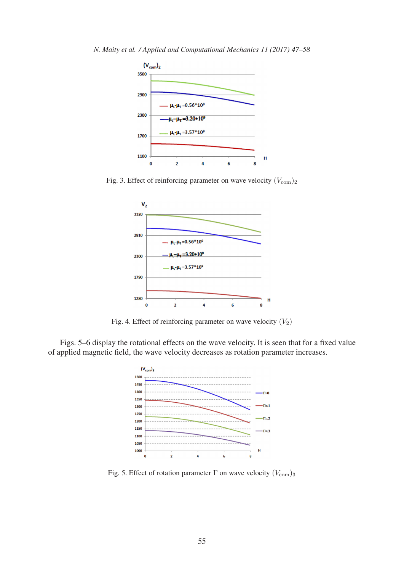<span id="page-8-0"></span>*N. Maity et al. / Applied and Computational Mechanics 11 (2017) 47[–58](#page-10-0)*



Fig. 3. Effect of reinforcing parameter on wave velocity  $(V_{\text{com}})_2$ 



Fig. 4. Effect of reinforcing parameter on wave velocity  $(V_2)$ 

<span id="page-8-1"></span>Figs. [5](#page-8-1)[–6](#page-9-0) display the rotational effects on the wave velocity. It is seen that for a fixed value of applied magnetic field, the wave velocity decreases as rotation parameter increases.



Fig. 5. Effect of rotation parameter  $\Gamma$  on wave velocity  $(V_{\text{com}})_3$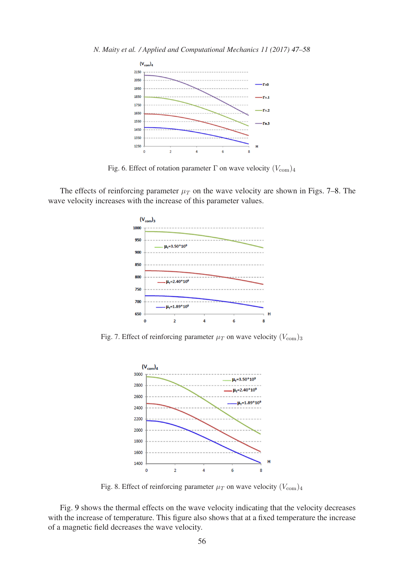<span id="page-9-0"></span>

Fig. 6. Effect of rotation parameter  $\Gamma$  on wave velocity  $(V_{\text{com}})_4$ 

<span id="page-9-1"></span>The effects of reinforcing parameter  $\mu_T$  on the wave velocity are shown in Figs. [7](#page-9-1)[–8.](#page-9-2) The wave velocity increases with the increase of this parameter values.



<span id="page-9-2"></span>Fig. 7. Effect of reinforcing parameter  $\mu_T$  on wave velocity  $(V_{\text{com}})_3$ 



Fig. 8. Effect of reinforcing parameter  $\mu_T$  on wave velocity  $(V_{\text{com}})_4$ 

Fig. [9](#page-10-9) shows the thermal effects on the wave velocity indicating that the velocity decreases with the increase of temperature. This figure also shows that at a fixed temperature the increase of a magnetic field decreases the wave velocity.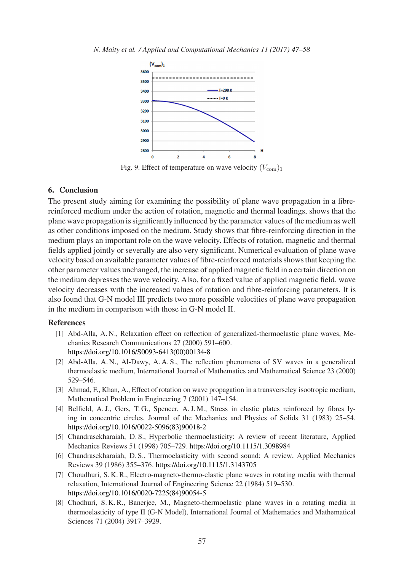<span id="page-10-9"></span>

Fig. 9. Effect of temperature on wave velocity  $(V_{\text{com}})_1$ 

# 6. Conclusion

The present study aiming for examining the possibility of plane wave propagation in a fibrereinforced medium under the action of rotation, magnetic and thermal loadings, shows that the plane wave propagation is significantly influenced by the parameter values of the medium as well as other conditions imposed on the medium. Study shows that fibre-reinforcing direction in the medium plays an important role on the wave velocity. Effects of rotation, magnetic and thermal fields applied jointly or severally are also very significant. Numerical evaluation of plane wave velocity based on available parameter values of fibre-reinforced materials shows that keeping the other parameter values unchanged, the increase of applied magnetic field in a certain direction on the medium depresses the wave velocity. Also, for a fixed value of applied magnetic field, wave velocity decreases with the increased values of rotation and fibre-reinforcing parameters. It is also found that G-N model III predicts two more possible velocities of plane wave propagation in the medium in comparison with those in G-N model II.

## <span id="page-10-3"></span><span id="page-10-0"></span>References

- [1] Abd-Alla, A. N., Relaxation effect on reflection of generalized-thermoelastic plane waves, Mechanics Research Communications 27 (2000) 591–600. [https://doi.org/10.1016/S0093-6413\(00\)00134-8](https://doi.org/10.1016/S0093-6413(00)00134-8)
- <span id="page-10-4"></span>[2] Abd-Alla, A. N., Al-Dawy, A. A. S., The reflection phenomena of SV waves in a generalized thermoelastic medium, International Journal of Mathematics and Mathematical Science 23 (2000) 529–546.
- <span id="page-10-8"></span><span id="page-10-7"></span>[3] Ahmad, F., Khan, A., Effect of rotation on wave propagation in a transverseley isootropic medium, Mathematical Problem in Engineering 7 (2001) 147–154.
- [4] Belfield, A. J., Gers, T. G., Spencer, A. J. M., Stress in elastic plates reinforced by fibres lying in concentric circles, Journal of the Mechanics and Physics of Solids 31 (1983) 25–54. [https://doi.org/10.1016/0022-5096\(83\)90018-2](https://doi.org/10.1016/0022-5096(83)90018-2)
- <span id="page-10-2"></span><span id="page-10-1"></span>[5] Chandrasekharaiah, D. S., Hyperbolic thermoelasticity: A review of recent literature, Applied Mechanics Reviews 51 (1998) 705–729. <https://doi.org/10.1115/1.3098984>
- <span id="page-10-5"></span>[6] Chandrasekharaiah, D. S., Thermoelasticity with second sound: A review, Applied Mechanics Reviews 39 (1986) 355–376. <https://doi.org/10.1115/1.3143705>
- [7] Choudhuri, S. K. R., Electro-magneto-thermo-elastic plane waves in rotating media with thermal relaxation, International Journal of Engineering Science 22 (1984) 519–530. [https://doi.org/10.1016/0020-7225\(84\)90054-5](https://doi.org/10.1016/0020-7225(84)90054-5)
- <span id="page-10-6"></span>[8] Chodhuri, S. K. R., Banerjee, M., Magneto-thermoelastic plane waves in a rotating media in thermoelasticity of type II (G-N Model), International Journal of Mathematics and Mathematical Sciences 71 (2004) 3917–3929.